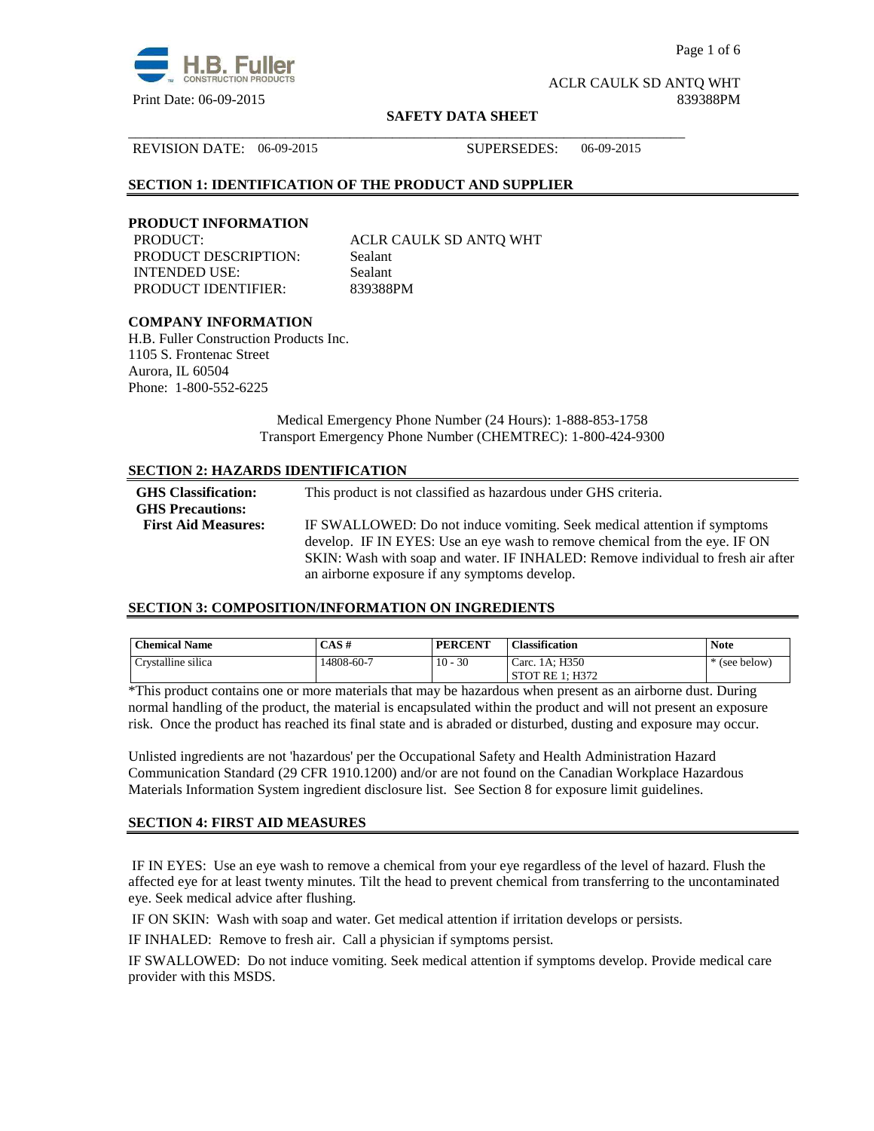

Page 1 of 6

ACLR CAULK SD ANTQ WHT Print Date: 06-09-2015 839388PM

#### **SAFETY DATA SHEET**

\_\_\_\_\_\_\_\_\_\_\_\_\_\_\_\_\_\_\_\_\_\_\_\_\_\_\_\_\_\_\_\_\_\_\_\_\_\_\_\_\_\_\_\_\_\_\_\_\_\_\_\_\_\_\_\_\_\_\_\_\_\_\_\_\_\_\_\_\_\_\_\_\_\_\_\_\_\_

REVISION DATE: 06-09-2015 SUPERSEDES: 06-09-2015

# **SECTION 1: IDENTIFICATION OF THE PRODUCT AND SUPPLIER**

## **PRODUCT INFORMATION**

PRODUCT DESCRIPTION: Sealant INTENDED USE: Sealant PRODUCT IDENTIFIER: 839388PM

PRODUCT: ACLR CAULK SD ANTQ WHT

# **COMPANY INFORMATION**

H.B. Fuller Construction Products Inc. 1105 S. Frontenac Street Aurora, IL 60504 Phone: 1-800-552-6225

> Medical Emergency Phone Number (24 Hours): 1-888-853-1758 Transport Emergency Phone Number (CHEMTREC): 1-800-424-9300

## **SECTION 2: HAZARDS IDENTIFICATION**

| <b>GHS</b> Classification:<br><b>GHS Precautions:</b> | This product is not classified as hazardous under GHS criteria.                                                                                         |
|-------------------------------------------------------|---------------------------------------------------------------------------------------------------------------------------------------------------------|
| <b>First Aid Measures:</b>                            | IF SWALLOWED: Do not induce vomiting. Seek medical attention if symptoms<br>develop. IF IN EYES: Use an eye wash to remove chemical from the eye. IF ON |
|                                                       | SKIN: Wash with soap and water. IF INHALED: Remove individual to fresh air after<br>an airborne exposure if any symptoms develop.                       |

## **SECTION 3: COMPOSITION/INFORMATION ON INGREDIENTS**

| <b>Chemical Name</b> | CAS#       | <b>PERCENT</b> | <b>Classification</b> | <b>Note</b> |
|----------------------|------------|----------------|-----------------------|-------------|
| Crystalline silica   | 14808-60-7 | $10 - 30$      | Carc. 1A: H350        | (see below) |
|                      |            |                | STOT RE 1: H372       |             |

\*This product contains one or more materials that may be hazardous when present as an airborne dust. During normal handling of the product, the material is encapsulated within the product and will not present an exposure risk. Once the product has reached its final state and is abraded or disturbed, dusting and exposure may occur.

Unlisted ingredients are not 'hazardous' per the Occupational Safety and Health Administration Hazard Communication Standard (29 CFR 1910.1200) and/or are not found on the Canadian Workplace Hazardous Materials Information System ingredient disclosure list. See Section 8 for exposure limit guidelines.

#### **SECTION 4: FIRST AID MEASURES**

 IF IN EYES: Use an eye wash to remove a chemical from your eye regardless of the level of hazard. Flush the affected eye for at least twenty minutes. Tilt the head to prevent chemical from transferring to the uncontaminated eye. Seek medical advice after flushing.

IF ON SKIN: Wash with soap and water. Get medical attention if irritation develops or persists.

IF INHALED: Remove to fresh air. Call a physician if symptoms persist.

IF SWALLOWED:Do not induce vomiting. Seek medical attention if symptoms develop. Provide medical care provider with this MSDS.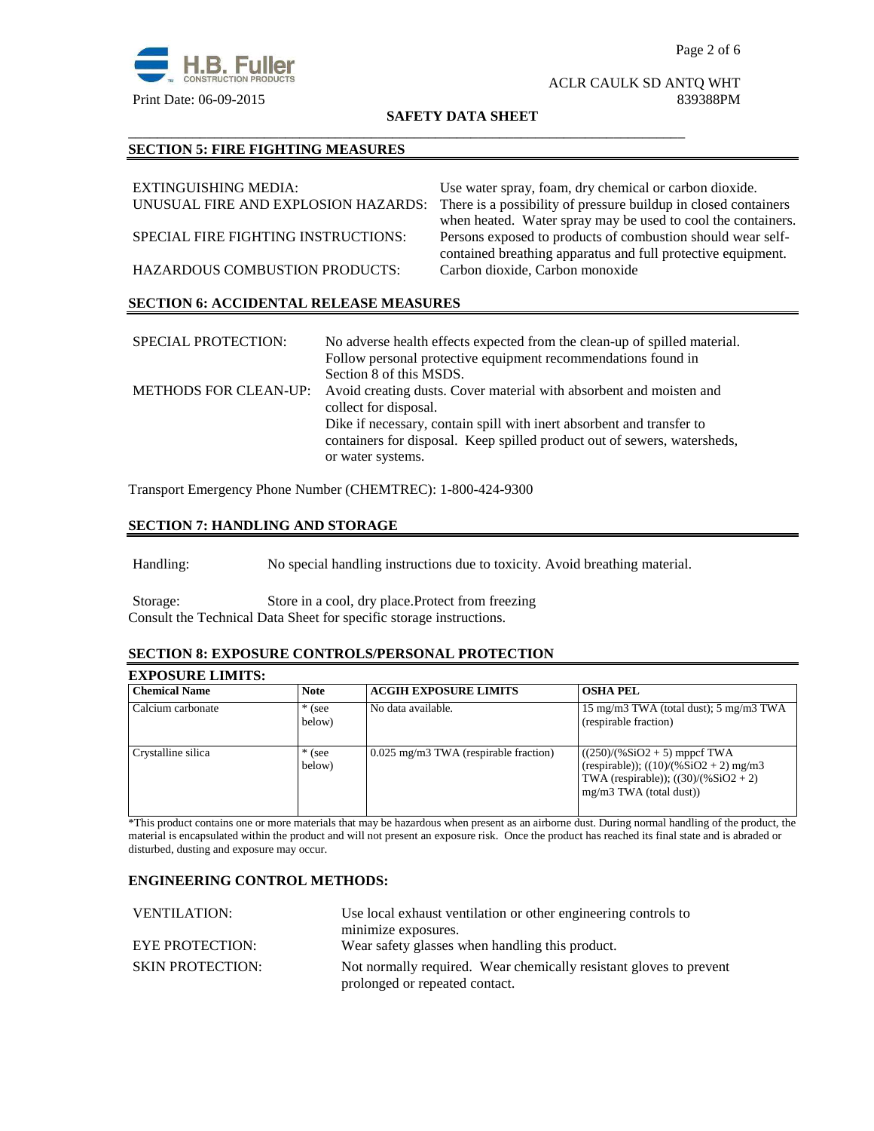

## ACLR CAULK SD ANTQ WHT Print Date: 06-09-2015 839388PM

**SAFETY DATA SHEET**

\_\_\_\_\_\_\_\_\_\_\_\_\_\_\_\_\_\_\_\_\_\_\_\_\_\_\_\_\_\_\_\_\_\_\_\_\_\_\_\_\_\_\_\_\_\_\_\_\_\_\_\_\_\_\_\_\_\_\_\_\_\_\_\_\_\_\_\_\_\_\_\_\_\_\_\_\_\_

# **SECTION 5: FIRE FIGHTING MEASURES**

| EXTINGUISHING MEDIA:                          | Use water spray, foam, dry chemical or carbon dioxide.          |  |  |
|-----------------------------------------------|-----------------------------------------------------------------|--|--|
| UNUSUAL FIRE AND EXPLOSION HAZARDS:           | There is a possibility of pressure buildup in closed containers |  |  |
|                                               | when heated. Water spray may be used to cool the containers.    |  |  |
| SPECIAL FIRE FIGHTING INSTRUCTIONS:           | Persons exposed to products of combustion should wear self-     |  |  |
|                                               | contained breathing apparatus and full protective equipment.    |  |  |
| <b>HAZARDOUS COMBUSTION PRODUCTS:</b>         | Carbon dioxide, Carbon monoxide                                 |  |  |
|                                               |                                                                 |  |  |
| <b>SECTION 6: ACCIDENTAL RELEASE MEASURES</b> |                                                                 |  |  |

| <b>SPECIAL PROTECTION:</b>   | No adverse health effects expected from the clean-up of spilled material.<br>Follow personal protective equipment recommendations found in<br>Section 8 of this MSDS.  |
|------------------------------|------------------------------------------------------------------------------------------------------------------------------------------------------------------------|
| <b>METHODS FOR CLEAN-UP:</b> | Avoid creating dusts. Cover material with absorbent and moisten and<br>collect for disposal.                                                                           |
|                              | Dike if necessary, contain spill with inert absorbent and transfer to<br>containers for disposal. Keep spilled product out of sewers, watersheds,<br>or water systems. |

Transport Emergency Phone Number (CHEMTREC): 1-800-424-9300

# **SECTION 7: HANDLING AND STORAGE**

Handling: No special handling instructions due to toxicity. Avoid breathing material.

Storage: Store in a cool, dry place.Protect from freezing Consult the Technical Data Sheet for specific storage instructions.

#### **SECTION 8: EXPOSURE CONTROLS/PERSONAL PROTECTION**

# **EXPOSURE LIMITS:**

| <b>Chemical Name</b> | <b>Note</b>        | <b>ACGIH EXPOSURE LIMITS</b>            | <b>OSHA PEL</b>                                                                                                                                    |
|----------------------|--------------------|-----------------------------------------|----------------------------------------------------------------------------------------------------------------------------------------------------|
| Calcium carbonate    | $*$ (see<br>below) | No data available.                      | 15 mg/m3 TWA (total dust); 5 mg/m3 TWA<br>(respirable fraction)                                                                                    |
| Crystalline silica   | $*$ (see<br>below) | $0.025$ mg/m3 TWA (respirable fraction) | $((250)/(%SiO2 + 5)$ mppcf TWA<br>(respirable)); $((10)/(%SiO2 + 2)$ mg/m3<br>TWA (respirable)); $((30)/(%SiO2 + 2))$<br>$mg/m3$ TWA (total dust)) |

\*This product contains one or more materials that may be hazardous when present as an airborne dust. During normal handling of the product, the material is encapsulated within the product and will not present an exposure risk. Once the product has reached its final state and is abraded or disturbed, dusting and exposure may occur.

# **ENGINEERING CONTROL METHODS:**

| Use local exhaust ventilation or other engineering controls to                                       |  |
|------------------------------------------------------------------------------------------------------|--|
| minimize exposures.                                                                                  |  |
| Wear safety glasses when handling this product.                                                      |  |
| Not normally required. Wear chemically resistant gloves to prevent<br>prolonged or repeated contact. |  |
|                                                                                                      |  |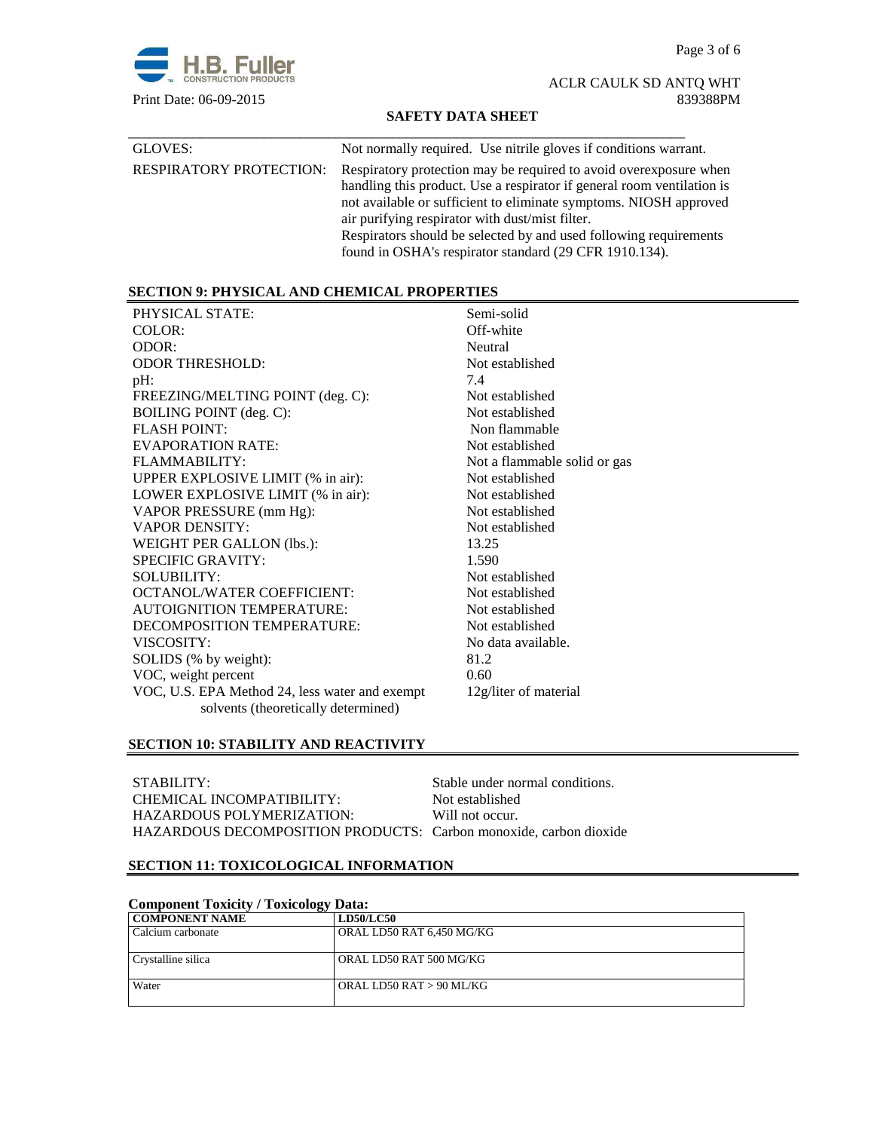Page 3 of 6



ACLR CAULK SD ANTQ WHT

# **SAFETY DATA SHEET**

| GLOVES:                        | Not normally required. Use nitrile gloves if conditions warrant.                                                                                                                                                                                                                                                                                                                                    |
|--------------------------------|-----------------------------------------------------------------------------------------------------------------------------------------------------------------------------------------------------------------------------------------------------------------------------------------------------------------------------------------------------------------------------------------------------|
| <b>RESPIRATORY PROTECTION:</b> | Respiratory protection may be required to avoid over exposure when<br>handling this product. Use a respirator if general room ventilation is<br>not available or sufficient to eliminate symptoms. NIOSH approved<br>air purifying respirator with dust/mist filter.<br>Respirators should be selected by and used following requirements<br>found in OSHA's respirator standard (29 CFR 1910.134). |

# **SECTION 9: PHYSICAL AND CHEMICAL PROPERTIES**

| PHYSICAL STATE:                                | Semi-solid                   |
|------------------------------------------------|------------------------------|
| COLOR:                                         | Off-white                    |
| ODOR:                                          | Neutral                      |
| <b>ODOR THRESHOLD:</b>                         | Not established              |
| $pH$ :                                         | 7.4                          |
| FREEZING/MELTING POINT (deg. C):               | Not established              |
| BOILING POINT (deg. C):                        | Not established              |
| <b>FLASH POINT:</b>                            | Non flammable                |
| EVAPORATION RATE:                              | Not established              |
| FLAMMABILITY:                                  | Not a flammable solid or gas |
| UPPER EXPLOSIVE LIMIT (% in air):              | Not established              |
| LOWER EXPLOSIVE LIMIT (% in air):              | Not established              |
| VAPOR PRESSURE (mm Hg):                        | Not established              |
| <b>VAPOR DENSITY:</b>                          | Not established              |
| WEIGHT PER GALLON (lbs.):                      | 13.25                        |
| <b>SPECIFIC GRAVITY:</b>                       | 1.590                        |
| <b>SOLUBILITY:</b>                             | Not established              |
| OCTANOL/WATER COEFFICIENT:                     | Not established              |
| <b>AUTOIGNITION TEMPERATURE:</b>               | Not established              |
| DECOMPOSITION TEMPERATURE:                     | Not established              |
| VISCOSITY:                                     | No data available.           |
| SOLIDS (% by weight):                          | 81.2                         |
| VOC, weight percent                            | 0.60                         |
| VOC, U.S. EPA Method 24, less water and exempt | 12g/liter of material        |
| solvents (theoretically determined)            |                              |

# **SECTION 10: STABILITY AND REACTIVITY**

| STABILITY:                                                        | Stable under normal conditions. |
|-------------------------------------------------------------------|---------------------------------|
| CHEMICAL INCOMPATIBILITY:                                         | Not established                 |
| HAZARDOUS POLYMERIZATION:                                         | Will not occur.                 |
| HAZARDOUS DECOMPOSITION PRODUCTS: Carbon monoxide, carbon dioxide |                                 |

# **SECTION 11: TOXICOLOGICAL INFORMATION**

| <b>Component Toxicity / Toxicology Data:</b> |                           |  |  |
|----------------------------------------------|---------------------------|--|--|
| <b>COMPONENT NAME</b>                        | <b>LD50/LC50</b>          |  |  |
| Calcium carbonate                            | ORAL LD50 RAT 6,450 MG/KG |  |  |
| Crystalline silica                           | ORAL LD50 RAT 500 MG/KG   |  |  |
| Water                                        | ORAL LD50 RAT > 90 ML/KG  |  |  |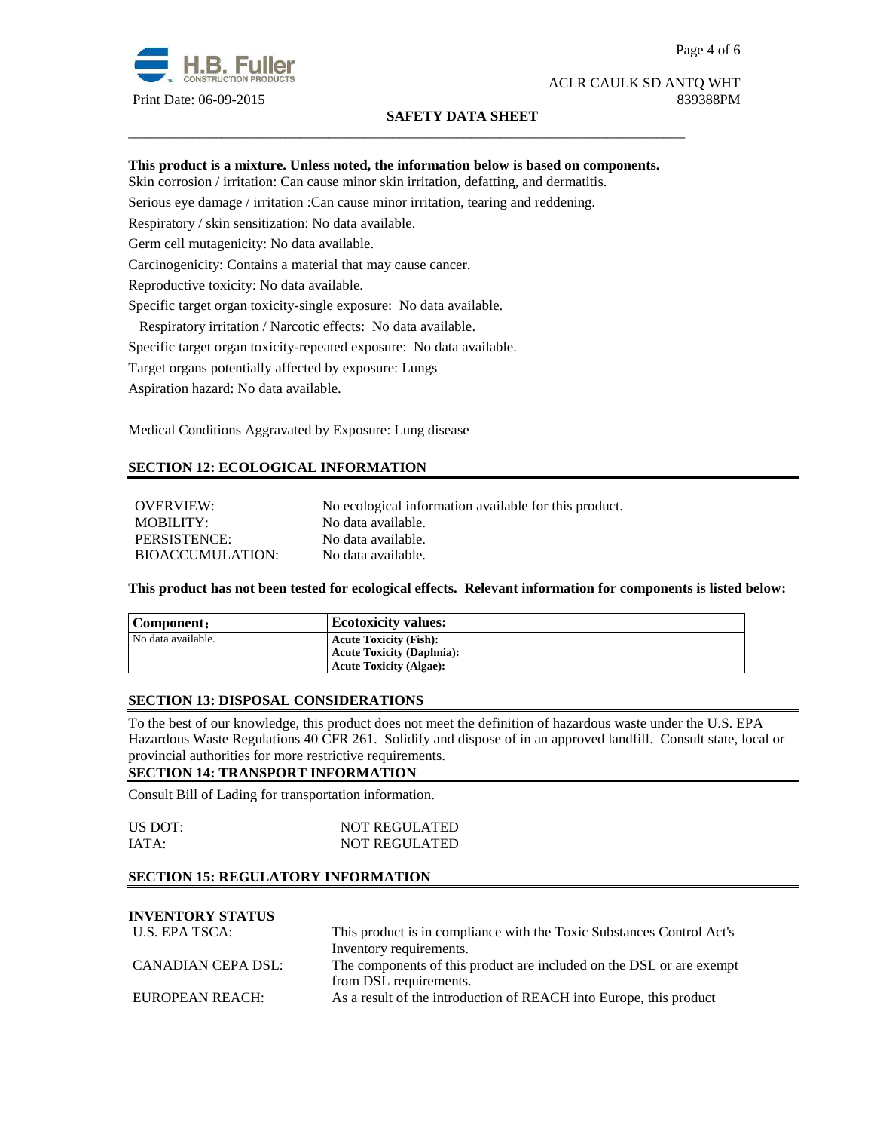

# ACLR CAULK SD ANTQ WHT Print Date: 06-09-2015 839388PM

## **SAFETY DATA SHEET**

## **This product is a mixture. Unless noted, the information below is based on components.**

\_\_\_\_\_\_\_\_\_\_\_\_\_\_\_\_\_\_\_\_\_\_\_\_\_\_\_\_\_\_\_\_\_\_\_\_\_\_\_\_\_\_\_\_\_\_\_\_\_\_\_\_\_\_\_\_\_\_\_\_\_\_\_\_\_\_\_\_\_\_\_\_\_\_\_\_\_\_

Skin corrosion / irritation: Can cause minor skin irritation, defatting, and dermatitis.

Serious eye damage / irritation :Can cause minor irritation, tearing and reddening.

Respiratory / skin sensitization: No data available.

Germ cell mutagenicity: No data available.

Carcinogenicity: Contains a material that may cause cancer.

Reproductive toxicity: No data available.

Specific target organ toxicity-single exposure:No data available.

Respiratory irritation / Narcotic effects: No data available.

Specific target organ toxicity-repeated exposure:No data available.

Target organs potentially affected by exposure: Lungs

Aspiration hazard: No data available.

Medical Conditions Aggravated by Exposure: Lung disease

# **SECTION 12: ECOLOGICAL INFORMATION**

OVERVIEW: No ecological information available for this product. MOBILITY: No data available. PERSISTENCE: No data available. BIOACCUMULATION: No data available.

**This product has not been tested for ecological effects. Relevant information for components is listed below:** 

| Component:         | <b>Ecotoxicity values:</b>       |
|--------------------|----------------------------------|
| No data available. | <b>Acute Toxicity (Fish):</b>    |
|                    | <b>Acute Toxicity (Daphnia):</b> |
|                    | <b>Acute Toxicity (Algae):</b>   |

## **SECTION 13: DISPOSAL CONSIDERATIONS**

To the best of our knowledge, this product does not meet the definition of hazardous waste under the U.S. EPA Hazardous Waste Regulations 40 CFR 261. Solidify and dispose of in an approved landfill. Consult state, local or provincial authorities for more restrictive requirements.

## **SECTION 14: TRANSPORT INFORMATION**

Consult Bill of Lading for transportation information.

| US DOT: | <b>NOT REGULATED</b> |
|---------|----------------------|
| IATA:   | <b>NOT REGULATED</b> |

## **SECTION 15: REGULATORY INFORMATION**

# **INVENTORY STATUS**

| U.S. EPA TSCA:     | This product is in compliance with the Toxic Substances Control Act's |  |
|--------------------|-----------------------------------------------------------------------|--|
|                    | Inventory requirements.                                               |  |
| CANADIAN CEPA DSL: | The components of this product are included on the DSL or are exempt  |  |
|                    | from DSL requirements.                                                |  |
| EUROPEAN REACH:    | As a result of the introduction of REACH into Europe, this product    |  |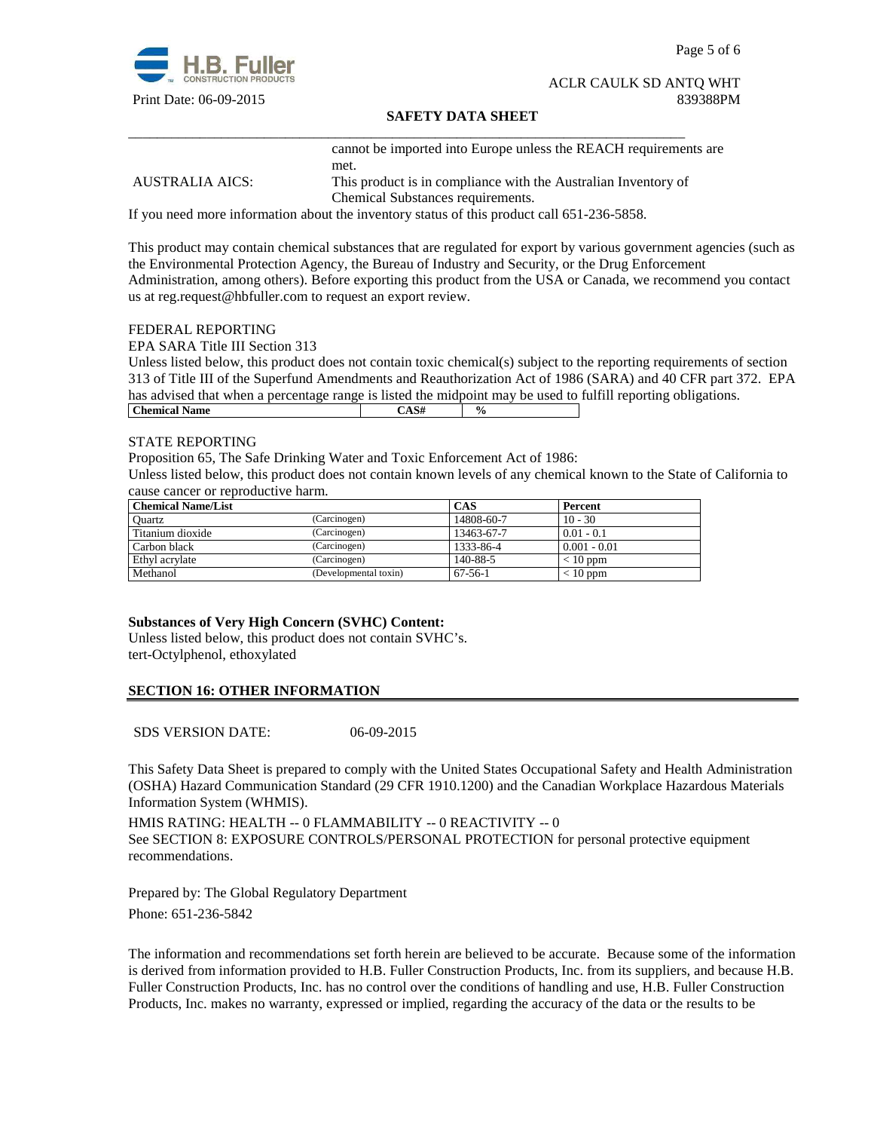

Page 5 of 6

#### ACLR CAULK SD ANTQ WHT Print Date: 06-09-2015 839388PM

## **SAFETY DATA SHEET**

cannot be imported into Europe unless the REACH requirements are met.

AUSTRALIA AICS: This product is in compliance with the Australian Inventory of Chemical Substances requirements.

If you need more information about the inventory status of this product call 651-236-5858.

\_\_\_\_\_\_\_\_\_\_\_\_\_\_\_\_\_\_\_\_\_\_\_\_\_\_\_\_\_\_\_\_\_\_\_\_\_\_\_\_\_\_\_\_\_\_\_\_\_\_\_\_\_\_\_\_\_\_\_\_\_\_\_\_\_\_\_\_\_\_\_\_\_\_\_\_\_\_

This product may contain chemical substances that are regulated for export by various government agencies (such as the Environmental Protection Agency, the Bureau of Industry and Security, or the Drug Enforcement Administration, among others). Before exporting this product from the USA or Canada, we recommend you contact us at reg.request@hbfuller.com to request an export review.

#### FEDERAL REPORTING

EPA SARA Title III Section 313

Unless listed below, this product does not contain toxic chemical(s) subject to the reporting requirements of section 313 of Title III of the Superfund Amendments and Reauthorization Act of 1986 (SARA) and 40 CFR part 372. EPA has advised that when a percentage range is listed the midpoint may be used to fulfill reporting obligations. **Chemical Name**  $\qquad \qquad$   $\qquad \qquad$   $\qquad \qquad$   $\qquad \qquad$   $\qquad \qquad$   $\qquad \qquad$   $\qquad \qquad$   $\qquad \qquad$   $\qquad \qquad$   $\qquad \qquad$   $\qquad \qquad$   $\qquad \qquad$   $\qquad \qquad$   $\qquad \qquad$   $\qquad \qquad$   $\qquad \qquad$   $\qquad \qquad$   $\qquad \qquad$   $\qquad \qquad$   $\qquad \qquad$   $\qquad \qquad$   $\qquad \qquad$   $\qquad \qquad$ 

#### STATE REPORTING

Proposition 65, The Safe Drinking Water and Toxic Enforcement Act of 1986:

Unless listed below, this product does not contain known levels of any chemical known to the State of California to cause cancer or reproductive harm.

| <b>Chemical Name/List</b> |                       | CAS           | Percent        |
|---------------------------|-----------------------|---------------|----------------|
| Ouartz                    | (Carcinogen)          | 14808-60-7    | $10 - 30$      |
| Titanium dioxide          | (Carcinogen)          | 13463-67-7    | $0.01 - 0.1$   |
| Carbon black              | (Carcinogen)          | 1333-86-4     | $0.001 - 0.01$ |
| Ethyl acrylate            | (Carcinogen)          | 140-88-5      | $< 10$ ppm     |
| Methanol                  | (Developmental toxin) | $67 - 56 - 1$ | $< 10$ ppm     |

# **Substances of Very High Concern (SVHC) Content:**

Unless listed below, this product does not contain SVHC's. tert-Octylphenol, ethoxylated

# **SECTION 16: OTHER INFORMATION**

SDS VERSION DATE: 06-09-2015

This Safety Data Sheet is prepared to comply with the United States Occupational Safety and Health Administration (OSHA) Hazard Communication Standard (29 CFR 1910.1200) and the Canadian Workplace Hazardous Materials Information System (WHMIS).

HMIS RATING: HEALTH -- 0 FLAMMABILITY -- 0 REACTIVITY -- 0 See SECTION 8: EXPOSURE CONTROLS/PERSONAL PROTECTION for personal protective equipment recommendations.

Prepared by: The Global Regulatory Department Phone: 651-236-5842

The information and recommendations set forth herein are believed to be accurate. Because some of the information is derived from information provided to H.B. Fuller Construction Products, Inc. from its suppliers, and because H.B. Fuller Construction Products, Inc. has no control over the conditions of handling and use, H.B. Fuller Construction Products, Inc. makes no warranty, expressed or implied, regarding the accuracy of the data or the results to be